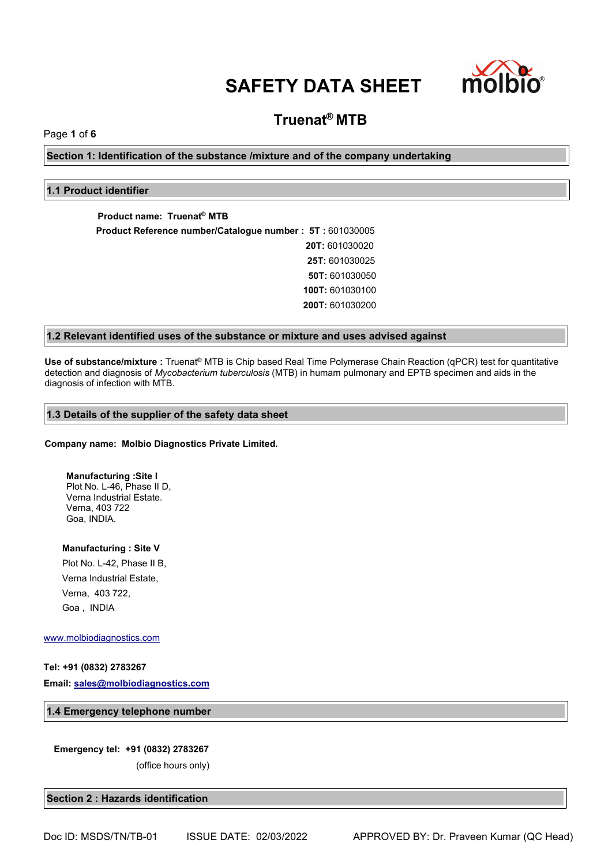

# **Truenat® MTB**

Page **1** of **6**

**Section 1: Identification of the substance /mixture and of the company undertaking**

# **1.1 Product identifier**

**Product name: Truenat® MTB Product Reference number/Catalogue number : 5T :** 601030005 **20T:** 601030020 **25T:** 601030025 **50T:** 601030050 **100T:** 601030100 **200T:** 601030200

# **1.2 Relevant identified uses of the substance or mixture and uses advised against**

**Use of substance/mixture :** Truenat® MTB is Chip based Real Time Polymerase Chain Reaction (qPCR) test for quantitative detection and diagnosis of *Mycobacterium tuberculosis* (MTB) in humam pulmonary and EPTB specimen and aids in the diagnosis of infection with MTB.

#### **1.3 Details of the supplier of the safety data sheet**

#### **Company name: Molbio Diagnostics Private Limited.**

**Manufacturing :Site I** Plot No. L-46, Phase II D, Verna Industrial Estate. Verna, 403 722 Goa, INDIA.

**Manufacturing : Site V** Plot No. L-42, Phase II B, Verna Industrial Estate, Verna, 403 722, Goa , INDIA

#### [www.molbiodiagnostics.com](http://www.molbiodiagnostics.com)

## **Tel: +91 (0832) 2783267**

**Email: [sales@molbiodiagnostics.com](mailto:sales@molbiodiagnostics.com)**

#### **1.4 Emergency telephone number**

#### **Emergency tel: +91 (0832) 2783267**

(office hours only)

#### **Section 2 : Hazards identification**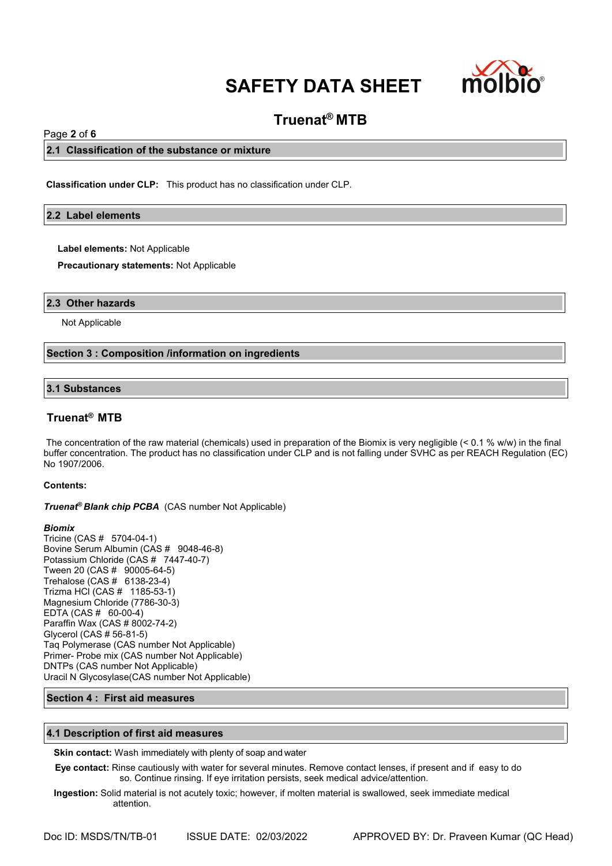

# **Truenat® MTB**

# Page **2** of **6**

### **2.1 Classification of the substance or mixture**

**Classification under CLP:** This product has no classification under CLP.

### **2.2 Label elements**

**Label elements:** Not Applicable

**Precautionary statements:** Not Applicable

#### **2.3 Other hazards**

Not Applicable

#### **Section 3 : Composition /information on ingredients**

#### **3.1 Substances**

# **Truenat® MTB**

The concentration of the raw material (chemicals) used in preparation of the Biomix is very negligible (< 0.1 % w/w) in the final buffer concentration. The product has no classification under CLP and is not falling under SVHC as per REACH Regulation (EC) No 1907/2006.

#### **Contents:**

*Truenat<sup>®</sup> Blank chip PCBA* (CAS number Not Applicable)

#### *Biomix*

Tricine (CAS # 5704-04-1) Bovine Serum Albumin (CAS # 9048-46-8) Potassium Chloride (CAS # 7447-40-7) Tween 20 (CAS # 90005-64-5) Trehalose (CAS # 6138-23-4) Trizma HCl (CAS # 1185-53-1) Magnesium Chloride (7786-30-3) EDTA (CAS # 60-00-4) Paraffin Wax (CAS # 8002-74-2) Glycerol (CAS # 56-81-5) Taq Polymerase (CAS number Not Applicable) Primer- Probe mix (CAS number Not Applicable) DNTPs (CAS number Not Applicable) Uracil N Glycosylase(CAS number Not Applicable)

#### **Section 4 : First aid measures**

#### **4.1 Description of first aid measures**

**Skin contact:** Wash immediately with plenty of soap and water

**Eye contact:** Rinse cautiously with water for several minutes. Remove contact lenses, if present and if easy to do so. Continue rinsing. If eye irritation persists, seek medical advice/attention.

**Ingestion:** Solid material is not acutely toxic; however, if molten material is swallowed, seek immediate medical attention.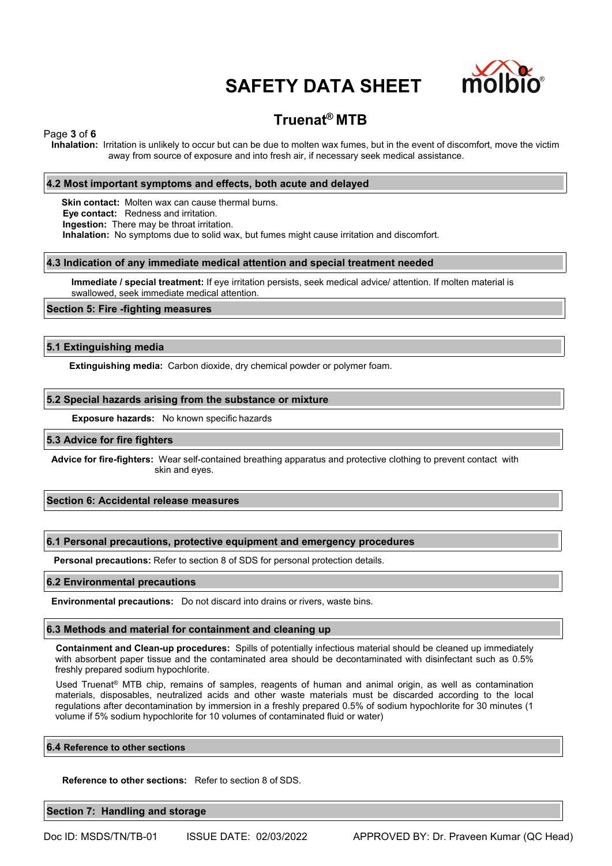

# **Truenat® MTB**

Page **3** of **6**

**Inhalation:** Irritation is unlikely to occur but can be due to molten wax fumes, but in the event of discomfort, move the victim away from source of exposure and into fresh air, if necessary seek medical assistance.

### **4.2 Most important symptoms and effects, both acute and delayed**

**Skin contact:** Molten wax can cause thermal burns. **Eye contact:** Redness and irritation. **Ingestion:** There may be throat irritation. **Inhalation:** No symptoms due to solid wax, but fumes might cause irritation and discomfort.

#### **4.3 Indication of any immediate medical attention and special treatment needed**

**Immediate / special treatment:** If eye irritation persists, seek medical advice/ attention. If molten material is swallowed, seek immediate medical attention.

#### **Section 5: Fire -fighting measures**

#### **5.1 Extinguishing media**

**Extinguishing media:** Carbon dioxide, dry chemical powder or polymer foam.

#### **5.2 Special hazards arising from the substance or mixture**

**Exposure hazards:** No known specific hazards

#### **5.3 Advice for fire fighters**

**Advice for fire-fighters:** Wear self-contained breathing apparatus and protective clothing to prevent contact with skin and eyes.

#### **Section 6: Accidental release measures**

#### **6.1 Personal precautions, protective equipment and emergency procedures**

**Personal precautions:** Refer to section 8 of SDS for personal protection details.

#### **6.2 Environmental precautions**

**Environmental precautions:** Do not discard into drains or rivers, waste bins.

### **6.3 Methods and material for containment and cleaning up**

**Containment and Clean-up procedures:** Spills of potentially infectious material should be cleaned up immediately with absorbent paper tissue and the contaminated area should be decontaminated with disinfectant such as 0.5% freshly prepared sodium hypochlorite.

Used Truenat® MTB chip, remains of samples, reagents of human and animal origin, as well as contamination materials, disposables, neutralized acids and other waste materials must be discarded according to the local regulations after decontamination by immersion in a freshly prepared 0.5% of sodium hypochlorite for 30 minutes (1 volume if 5% sodium hypochlorite for 10 volumes of contaminated fluid or water)

#### **6.4 Reference to other sections**

**Reference to other sections:** Refer to section 8 of SDS.

**Section 7: Handling and storage**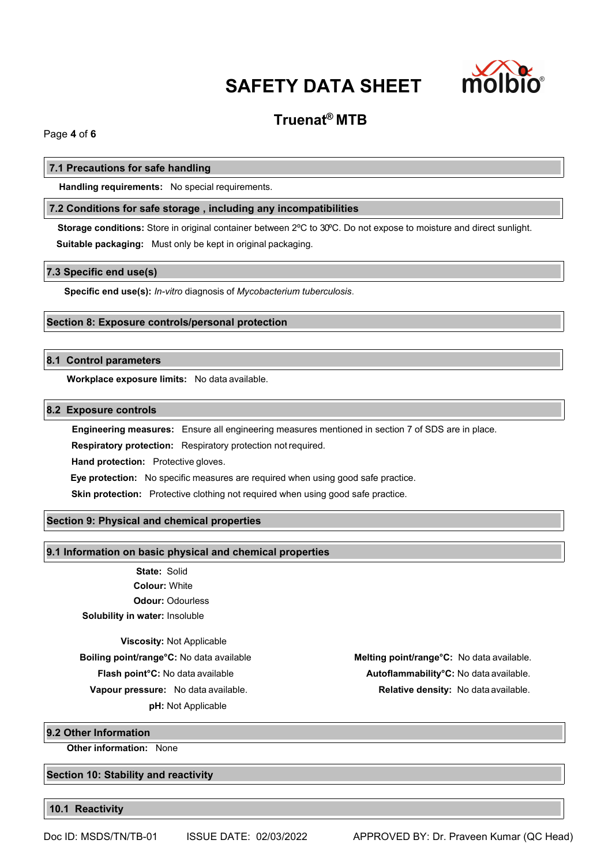

# **Truenat® MTB**

Page **4** of **6**

### **7.1 Precautions for safe handling**

**Handling requirements:** No special requirements.

# **7.2 Conditions for safe storage , including any incompatibilities**

**Storage conditions:** Store in original container between 2ºC to 30ºC. Do not expose to moisture and direct sunlight. **Suitable packaging:** Must only be kept in original packaging.

#### **7.3 Specific end use(s)**

**Specific end use(s):** *In-vitro* diagnosis of *Mycobacterium tuberculosis*.

# **Section 8: Exposure controls/personal protection**

# **8.1 Control parameters**

**Workplace exposure limits:** No data available.

# **8.2 Exposure controls**

**Engineering measures:** Ensure all engineering measures mentioned in section 7 of SDS are in place.

**Respiratory protection:** Respiratory protection notrequired.

**Hand protection:** Protective gloves.

**Eye protection:** No specific measures are required when using good safe practice.

**Skin protection:** Protective clothing not required when using good safe practice.

# **Section 9: Physical and chemical properties**

#### **9.1 Information on basic physical and chemical properties**

**State:** Solid **Colour:** White **Odour:** Odourless **Solubility in water:** Insoluble

**Viscosity:** Not Applicable

**pH:** Not Applicable

**Boiling point/range°C:** No data available **Melting point/range°C:** No data available. **Flash point°C:** No data available **Autoflammability°C:** No data available. **Vapour pressure:** No data available. **Relative density:** No data available.

**9.2 Other Information**

**Other information:** None

**Section 10: Stability and reactivity**

**10.1 Reactivity**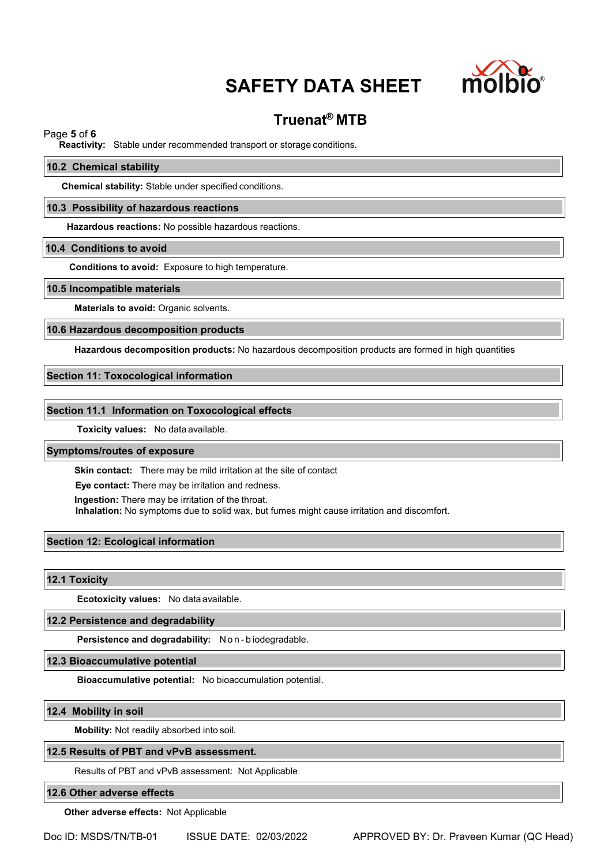

# **Truenat® MTB**

# Page **5** of **6**

**Reactivity:** Stable under recommended transport or storage conditions.

#### **10.2 Chemical stability**

**Chemical stability:** Stable under specified conditions.

#### **10.3 Possibility of hazardous reactions**

**Hazardous reactions:** No possible hazardous reactions.

#### **10.4 Conditions to avoid**

**Conditions to avoid:** Exposure to high temperature.

#### **10.5 Incompatible materials**

**Materials to avoid:** Organic solvents.

#### **10.6 Hazardous decomposition products**

**Hazardous decomposition products:** No hazardous decomposition products are formed in high quantities

# **Section 11: Toxocological information**

#### **Section 11.1 Information on Toxocological effects**

**Toxicity values:** No data available.

# **Symptoms/routes of exposure**

**Skin contact:** There may be mild irritation at the site of contact

**Eye contact:** There may be irritation and redness.

**Ingestion:** There may be irritation of the throat.

**Inhalation:** No symptoms due to solid wax, but fumes might cause irritation and discomfort.

## **Section 12: Ecological information**

**12.1 Toxicity**

**Ecotoxicity values:** No data available.

#### **12.2 Persistence and degradability**

**Persistence and degradability:** N o n - b iodegradable.

**12.3 Bioaccumulative potential**

**Bioaccumulative potential:** No bioaccumulation potential.

#### **12.4 Mobility in soil**

**Mobility:** Not readily absorbed into soil.

#### **12.5 Results of PBT and vPvB assessment.**

Results of PBT and vPvB assessment: Not Applicable

## **12.6 Other adverse effects**

**Other adverse effects:** Not Applicable